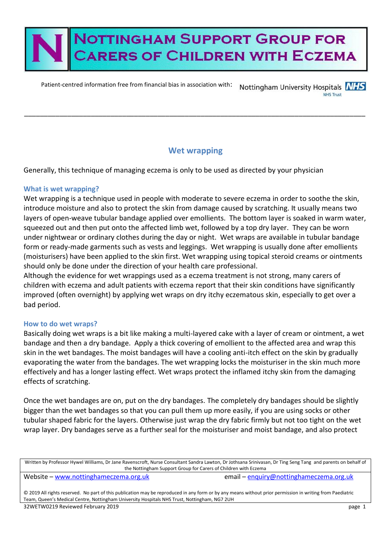# **NOTTINGHAM SUPPORT GROUP FOR ARERS OF CHILDREN WITH ECZEMA**

Patient-centred information free from financial bias in association with: Nottingham University Hospitals NHS

### **Wet wrapping**

\_\_\_\_\_\_\_\_\_\_\_\_\_\_\_\_\_\_\_\_\_\_\_\_\_\_\_\_\_\_\_\_\_\_\_\_\_\_\_\_\_\_\_\_\_\_\_\_\_\_\_\_\_\_\_\_\_\_\_\_\_\_\_\_\_\_\_\_\_\_\_\_\_\_\_\_\_\_\_\_\_\_\_\_\_\_\_

Generally, this technique of managing eczema is only to be used as directed by your physician

#### **What is wet wrapping?**

Wet wrapping is a technique used in people with moderate to severe eczema in order to soothe the skin, introduce moisture and also to protect the skin from damage caused by scratching. It usually means two layers of open-weave tubular bandage applied over emollients. The bottom layer is soaked in warm water, squeezed out and then put onto the affected limb wet, followed by a top dry layer. They can be worn under nightwear or ordinary clothes during the day or night. Wet wraps are available in tubular bandage form or ready-made garments such as vests and leggings. Wet wrapping is usually done after emollients (moisturisers) have been applied to the skin first. Wet wrapping using topical steroid creams or ointments should only be done under the direction of your health care professional.

Although the evidence for wet wrappings used as a eczema treatment is not strong, many carers of children with eczema and adult patients with eczema report that their skin conditions have significantly improved (often overnight) by applying wet wraps on dry itchy eczematous skin, especially to get over a bad period.

#### **How to do wet wraps?**

Basically doing wet wraps is a bit like making a multi-layered cake with a layer of cream or ointment, a wet bandage and then a dry bandage. Apply a thick covering of emollient to the affected area and wrap this skin in the wet bandages. The moist bandages will have a cooling anti-itch effect on the skin by gradually evaporating the water from the bandages. The wet wrapping locks the moisturiser in the skin much more effectively and has a longer lasting effect. Wet wraps protect the inflamed itchy skin from the damaging effects of scratching.

Once the wet bandages are on, put on the dry bandages. The completely dry bandages should be slightly bigger than the wet bandages so that you can pull them up more easily, if you are using socks or other tubular shaped fabric for the layers. Otherwise just wrap the dry fabric firmly but not too tight on the wet wrap layer. Dry bandages serve as a further seal for the moisturiser and moist bandage, and also protect

Written by Professor Hywel Williams, Dr Jane Ravenscroft, Nurse Consultant Sandra Lawton, Dr Jothsana Srinivasan, Dr Ting Seng Tang and parents on behalf of the Nottingham Support Group for Carers of Children with Eczema

Website – [www.nottinghameczema.org.uk](http://www.nottinghameczema.org.uk/) email – [enquiry@nottinghameczema.org.uk](mailto:enquiry@nottinghameczema.org.uk)

© 2019 All rights reserved. No part of this publication may be reproduced in any form or by any means without prior permission in writing from Paediatric Team, Queen's Medical Centre, Nottingham University Hospitals NHS Trust, Nottingham, NG7 2UH